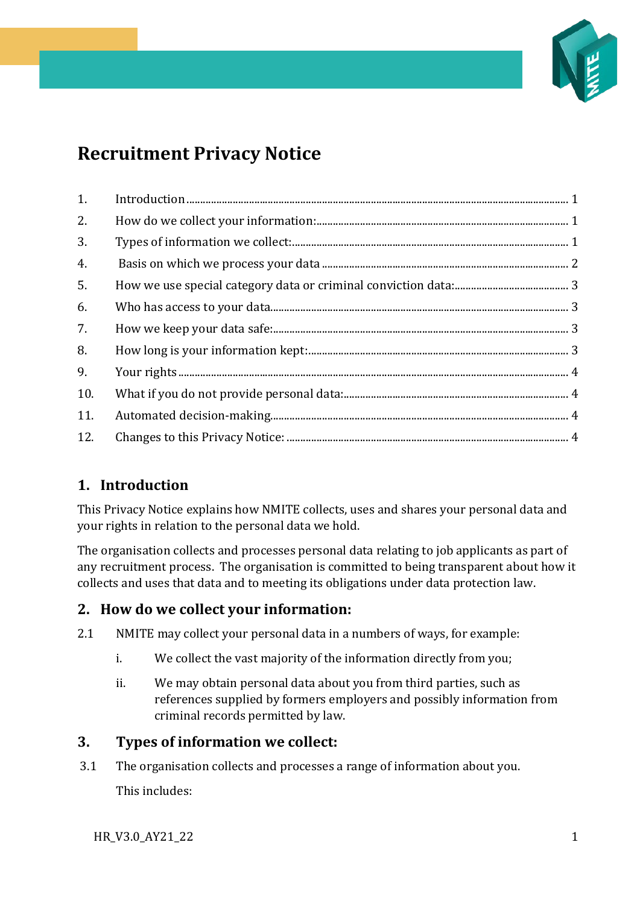

# **Recruitment Privacy Notice**

| 1.  |  |
|-----|--|
| 2.  |  |
| 3.  |  |
| 4.  |  |
| 5.  |  |
| 6.  |  |
| 7.  |  |
| 8.  |  |
| 9.  |  |
| 10. |  |
| 11. |  |
| 12. |  |

# <span id="page-0-0"></span>**1. Introduction**

This Privacy Notice explains how NMITE collects, uses and shares your personal data and your rights in relation to the personal data we hold.

The organisation collects and processes personal data relating to job applicants as part of any recruitment process. The organisation is committed to being transparent about how it collects and uses that data and to meeting its obligations under data protection law.

# <span id="page-0-1"></span>**2. How do we collect your information:**

- 2.1 NMITE may collect your personal data in a numbers of ways, for example:
	- i. We collect the vast majority of the information directly from you;
	- ii. We may obtain personal data about you from third parties, such as references supplied by formers employers and possibly information from criminal records permitted by law.

# <span id="page-0-2"></span>**3. Types of information we collect:**

3.1 The organisation collects and processes a range of information about you. This includes:

HR\_V3.0\_AY21\_22 1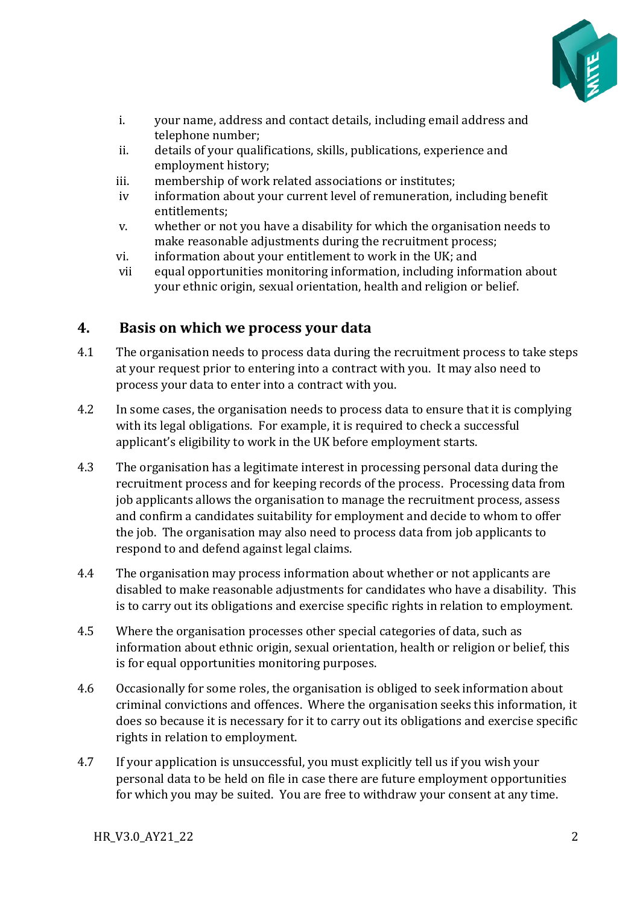

- i. your name, address and contact details, including email address and telephone number;
- ii. details of your qualifications, skills, publications, experience and employment history;
- iii. membership of work related associations or institutes;<br>iv information about your current level of remuneration.
- information about your current level of remuneration, including benefit entitlements;
- v. whether or not you have a disability for which the organisation needs to make reasonable adjustments during the recruitment process;
- vi. information about your entitlement to work in the UK; and<br>vii equal opportunities monitoring information, including information
- equal opportunities monitoring information, including information about your ethnic origin, sexual orientation, health and religion or belief.

# <span id="page-1-0"></span>**4. Basis on which we process your data**

- 4.1 The organisation needs to process data during the recruitment process to take steps at your request prior to entering into a contract with you. It may also need to process your data to enter into a contract with you.
- 4.2 In some cases, the organisation needs to process data to ensure that it is complying with its legal obligations. For example, it is required to check a successful applicant's eligibility to work in the UK before employment starts.
- 4.3 The organisation has a legitimate interest in processing personal data during the recruitment process and for keeping records of the process. Processing data from job applicants allows the organisation to manage the recruitment process, assess and confirm a candidates suitability for employment and decide to whom to offer the job. The organisation may also need to process data from job applicants to respond to and defend against legal claims.
- 4.4 The organisation may process information about whether or not applicants are disabled to make reasonable adjustments for candidates who have a disability. This is to carry out its obligations and exercise specific rights in relation to employment.
- 4.5 Where the organisation processes other special categories of data, such as information about ethnic origin, sexual orientation, health or religion or belief, this is for equal opportunities monitoring purposes.
- 4.6 Occasionally for some roles, the organisation is obliged to seek information about criminal convictions and offences. Where the organisation seeks this information, it does so because it is necessary for it to carry out its obligations and exercise specific rights in relation to employment.
- 4.7 If your application is unsuccessful, you must explicitly tell us if you wish your personal data to be held on file in case there are future employment opportunities for which you may be suited. You are free to withdraw your consent at any time.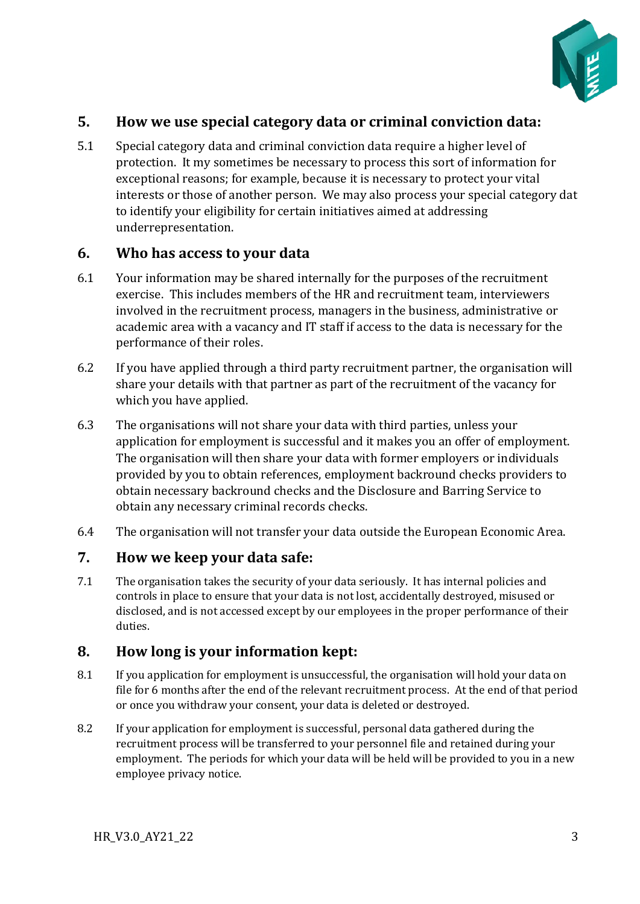

## <span id="page-2-0"></span>**5. How we use special category data or criminal conviction data:**

5.1 Special category data and criminal conviction data require a higher level of protection. It my sometimes be necessary to process this sort of information for exceptional reasons; for example, because it is necessary to protect your vital interests or those of another person. We may also process your special category dat to identify your eligibility for certain initiatives aimed at addressing underrepresentation.

#### <span id="page-2-1"></span>**6. Who has access to your data**

- 6.1 Your information may be shared internally for the purposes of the recruitment exercise. This includes members of the HR and recruitment team, interviewers involved in the recruitment process, managers in the business, administrative or academic area with a vacancy and IT staff if access to the data is necessary for the performance of their roles.
- 6.2 If you have applied through a third party recruitment partner, the organisation will share your details with that partner as part of the recruitment of the vacancy for which you have applied.
- 6.3 The organisations will not share your data with third parties, unless your application for employment is successful and it makes you an offer of employment. The organisation will then share your data with former employers or individuals provided by you to obtain references, employment backround checks providers to obtain necessary backround checks and the Disclosure and Barring Service to obtain any necessary criminal records checks.
- 6.4 The organisation will not transfer your data outside the European Economic Area.

#### <span id="page-2-2"></span>**7. How we keep your data safe:**

7.1 The organisation takes the security of your data seriously. It has internal policies and controls in place to ensure that your data is not lost, accidentally destroyed, misused or disclosed, and is not accessed except by our employees in the proper performance of their duties.

## <span id="page-2-3"></span>**8. How long is your information kept:**

- 8.1 If you application for employment is unsuccessful, the organisation will hold your data on file for 6 months after the end of the relevant recruitment process. At the end of that period or once you withdraw your consent, your data is deleted or destroyed.
- 8.2 If your application for employment is successful, personal data gathered during the recruitment process will be transferred to your personnel file and retained during your employment. The periods for which your data will be held will be provided to you in a new employee privacy notice.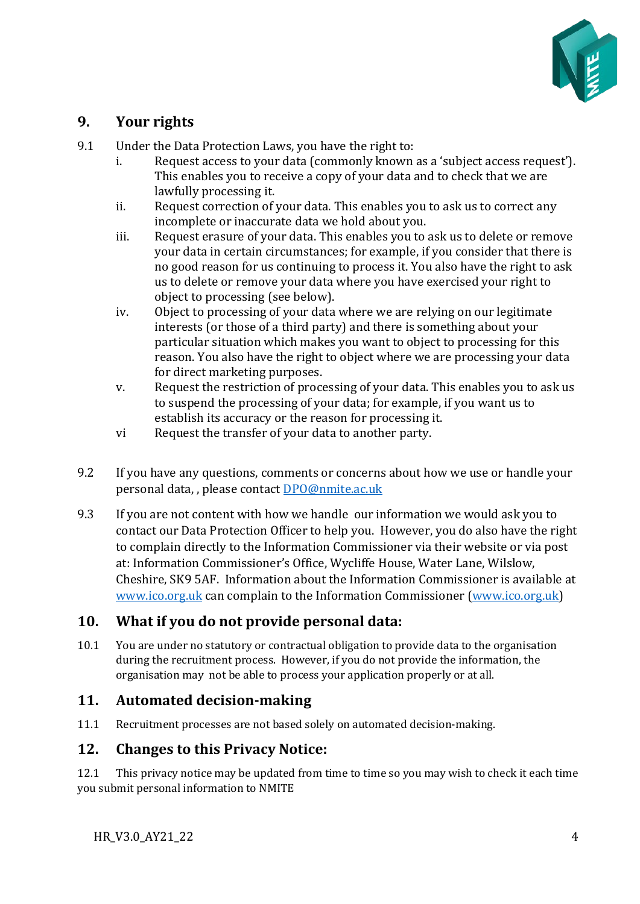

## <span id="page-3-0"></span>**9. Your rights**

- 9.1 Under the Data Protection Laws, you have the right to:<br>Request access to your data (commonly known)
	- Request access to your data (commonly known as a 'subject access request'). This enables you to receive a copy of your data and to check that we are lawfully processing it.
	- ii. Request correction of your data. This enables you to ask us to correct any incomplete or inaccurate data we hold about you.
	- iii. Request erasure of your data. This enables you to ask us to delete or remove your data in certain circumstances; for example, if you consider that there is no good reason for us continuing to process it. You also have the right to ask us to delete or remove your data where you have exercised your right to object to processing (see below).
	- iv. Object to processing of your data where we are relying on our legitimate interests (or those of a third party) and there is something about your particular situation which makes you want to object to processing for this reason. You also have the right to object where we are processing your data for direct marketing purposes.
	- v. Request the restriction of processing of your data. This enables you to ask us to suspend the processing of your data; for example, if you want us to establish its accuracy or the reason for processing it.
	- vi Request the transfer of your data to another party.
- 9.2 If you have any questions, comments or concerns about how we use or handle your personal data, , please contac[t DPO@nmite.ac.uk](mailto:DPO@nmite.ac.uk)
- 9.3 If you are not content with how we handle our information we would ask you to contact our Data Protection Officer to help you. However, you do also have the right to complain directly to the Information Commissioner via their website or via post at: Information Commissioner's Office, Wycliffe House, Water Lane, Wilslow, Cheshire, SK9 5AF. Information about the Information Commissioner is available at [www.ico.org.uk](http://www.ico.org.uk/) can complain to the Information Commissioner [\(www.ico.org.uk\)](http://www.ico.org.uk/)

## <span id="page-3-1"></span>**10. What if you do not provide personal data:**

10.1 You are under no statutory or contractual obligation to provide data to the organisation during the recruitment process. However, if you do not provide the information, the organisation may not be able to process your application properly or at all.

## <span id="page-3-2"></span>**11. Automated decision-making**

11.1 Recruitment processes are not based solely on automated decision-making.

## <span id="page-3-3"></span>**12. Changes to this Privacy Notice:**

12.1 This privacy notice may be updated from time to time so you may wish to check it each time you submit personal information to NMITE